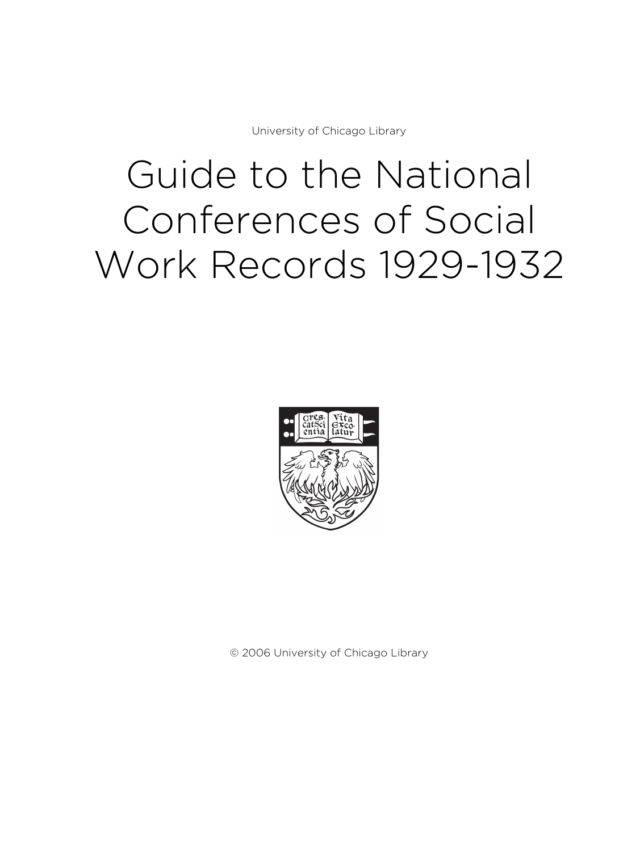University of Chicago Library

# Guide to the National Conferences of Social Work Records 1929-1932



© 2006 University of Chicago Library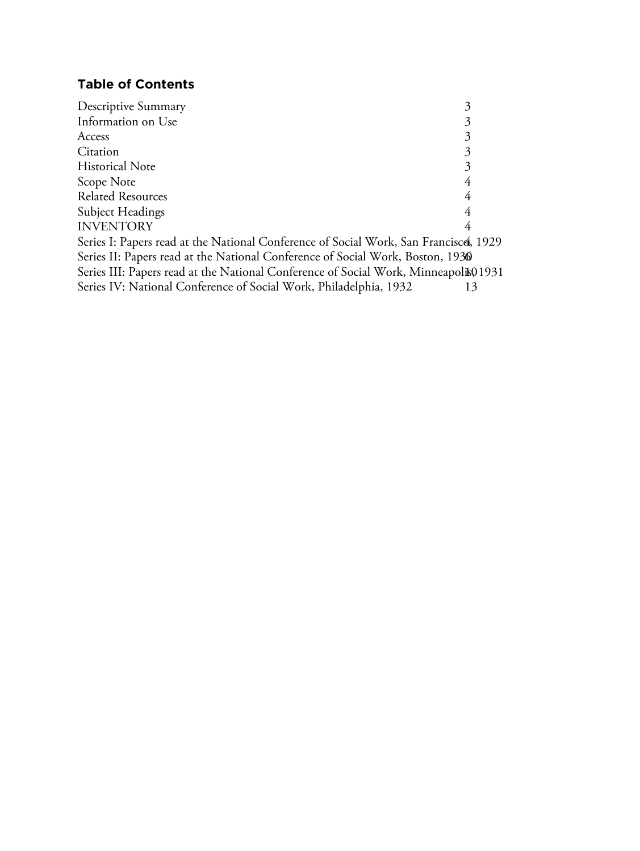# **Table of Contents**

| Descriptive Summary                                                                  | 3 |
|--------------------------------------------------------------------------------------|---|
| Information on Use                                                                   | 3 |
| Access                                                                               | 3 |
| Citation                                                                             | 3 |
| <b>Historical Note</b>                                                               | 3 |
| Scope Note                                                                           | 4 |
| <b>Related Resources</b>                                                             | 4 |
| Subject Headings                                                                     | 4 |
| <b>INVENTORY</b>                                                                     | 4 |
| Series I: Papers read at the National Conference of Social Work, San Francisce, 1929 |   |
| Series II: Papers read at the National Conference of Social Work, Boston, 1930       |   |
| Series III: Papers read at the National Conference of Social Work, Minneapolik01931  |   |
| Series IV: National Conference of Social Work, Philadelphia, 1932                    |   |
|                                                                                      |   |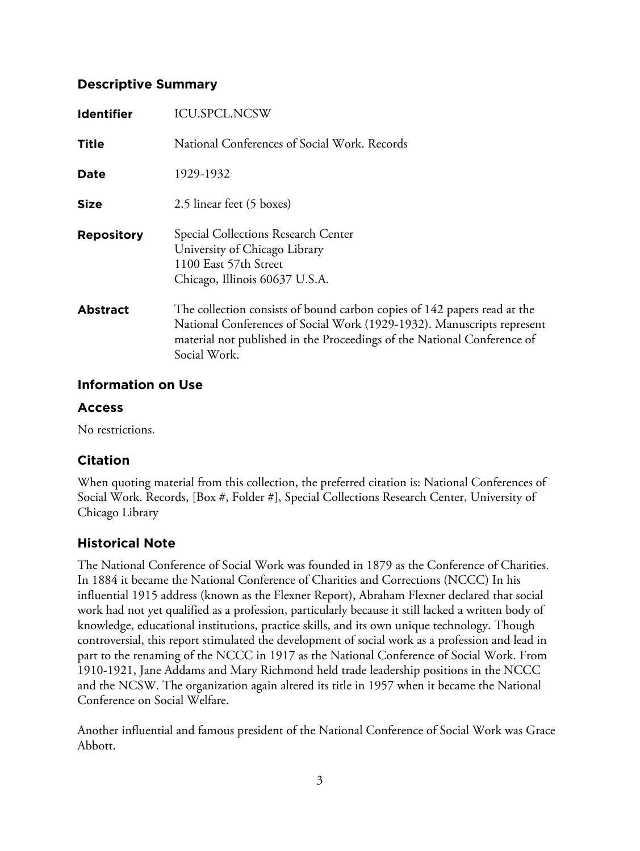# **Descriptive Summary**

| <b>Identifier</b> | <b>ICU.SPCL.NCSW</b>                                                                                                                                                                                                                          |
|-------------------|-----------------------------------------------------------------------------------------------------------------------------------------------------------------------------------------------------------------------------------------------|
| Title             | National Conferences of Social Work, Records                                                                                                                                                                                                  |
| Date              | 1929-1932                                                                                                                                                                                                                                     |
| <b>Size</b>       | 2.5 linear feet (5 boxes)                                                                                                                                                                                                                     |
| <b>Repository</b> | Special Collections Research Center<br>University of Chicago Library<br>1100 East 57th Street<br>Chicago, Illinois 60637 U.S.A.                                                                                                               |
| <b>Abstract</b>   | The collection consists of bound carbon copies of 142 papers read at the<br>National Conferences of Social Work (1929-1932). Manuscripts represent<br>material not published in the Proceedings of the National Conference of<br>Social Work. |

# **Information on Use**

# **Access**

No restrictions.

# **Citation**

When quoting material from this collection, the preferred citation is: National Conferences of Social Work. Records, [Box #, Folder #], Special Collections Research Center, University of Chicago Library

# **Historical Note**

The National Conference of Social Work was founded in 1879 as the Conference of Charities. In 1884 it became the National Conference of Charities and Corrections (NCCC) In his influential 1915 address (known as the Flexner Report), Abraham Flexner declared that social work had not yet qualified as a profession, particularly because it still lacked a written body of knowledge, educational institutions, practice skills, and its own unique technology. Though controversial, this report stimulated the development of social work as a profession and lead in part to the renaming of the NCCC in 1917 as the National Conference of Social Work. From 1910-1921, Jane Addams and Mary Richmond held trade leadership positions in the NCCC and the NCSW. The organization again altered its title in 1957 when it became the National Conference on Social Welfare.

Another influential and famous president of the National Conference of Social Work was Grace Abbott.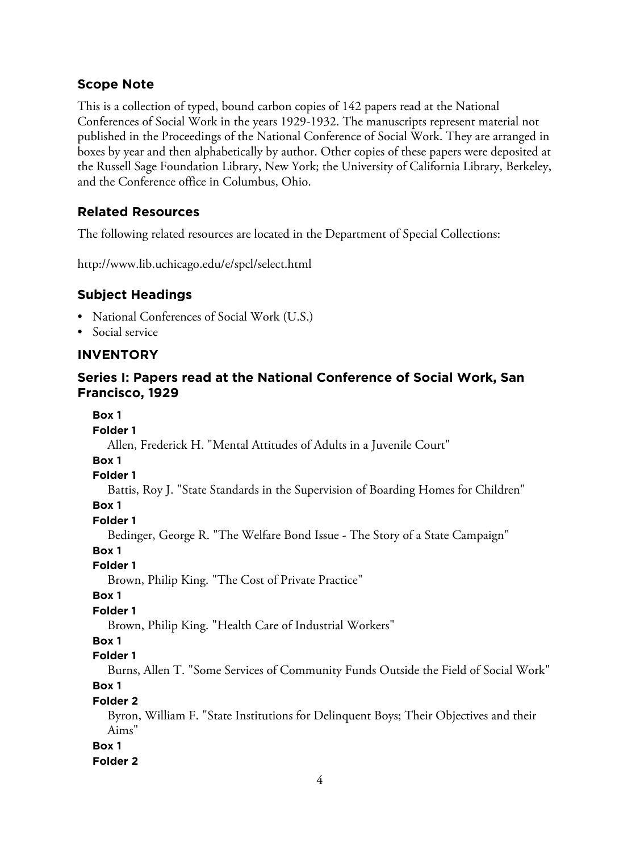# **Scope Note**

This is a collection of typed, bound carbon copies of 142 papers read at the National Conferences of Social Work in the years 1929-1932. The manuscripts represent material not published in the Proceedings of the National Conference of Social Work. They are arranged in boxes by year and then alphabetically by author. Other copies of these papers were deposited at the Russell Sage Foundation Library, New York; the University of California Library, Berkeley, and the Conference office in Columbus, Ohio.

# **Related Resources**

The following related resources are located in the Department of Special Collections:

http://www.lib.uchicago.edu/e/spcl/select.html

# **Subject Headings**

- National Conferences of Social Work (U.S.)
- Social service

# **INVENTORY**

# **Series I: Papers read at the National Conference of Social Work, San Francisco, 1929**

**Box 1**

**Folder 1**

Allen, Frederick H. "Mental Attitudes of Adults in a Juvenile Court"

**Box 1**

**Folder 1**

Battis, Roy J. "State Standards in the Supervision of Boarding Homes for Children"

# **Box 1**

**Folder 1**

Bedinger, George R. "The Welfare Bond Issue - The Story of a State Campaign"

**Box 1**

**Folder 1**

Brown, Philip King. "The Cost of Private Practice"

**Box 1**

## **Folder 1**

Brown, Philip King. "Health Care of Industrial Workers"

#### **Box 1**

**Folder 1**

Burns, Allen T. "Some Services of Community Funds Outside the Field of Social Work" **Box 1**

# **Folder 2**

Byron, William F. "State Institutions for Delinquent Boys; Their Objectives and their Aims"

#### **Box 1**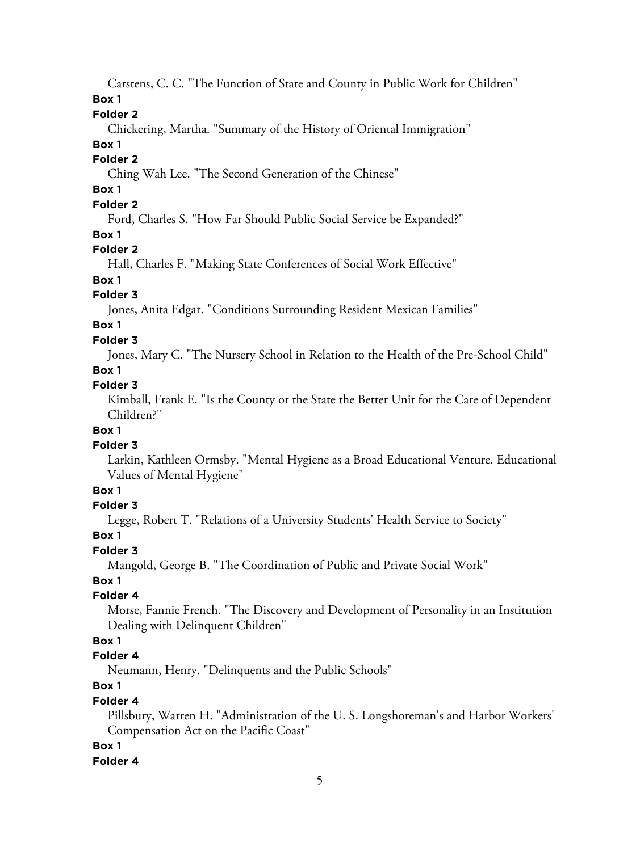Carstens, C. C. "The Function of State and County in Public Work for Children"

**Box 1**

# **Folder 2**

Chickering, Martha. "Summary of the History of Oriental Immigration"

# **Box 1**

# **Folder 2**

Ching Wah Lee. "The Second Generation of the Chinese"

# **Box 1**

# **Folder 2**

Ford, Charles S. "How Far Should Public Social Service be Expanded?"

# **Box 1**

# **Folder 2**

Hall, Charles F. "Making State Conferences of Social Work Effective"

# **Box 1**

# **Folder 3**

Jones, Anita Edgar. "Conditions Surrounding Resident Mexican Families"

# **Box 1**

# **Folder 3**

Jones, Mary C. "The Nursery School in Relation to the Health of the Pre-School Child"

# **Box 1**

# **Folder 3**

Kimball, Frank E. "Is the County or the State the Better Unit for the Care of Dependent Children?"

# **Box 1**

# **Folder 3**

Larkin, Kathleen Ormsby. "Mental Hygiene as a Broad Educational Venture. Educational Values of Mental Hygiene"

# **Box 1**

# **Folder 3**

Legge, Robert T. "Relations of a University Students' Health Service to Society"

# **Box 1**

# **Folder 3**

Mangold, George B. "The Coordination of Public and Private Social Work"

# **Box 1**

# **Folder 4**

Morse, Fannie French. "The Discovery and Development of Personality in an Institution Dealing with Delinquent Children"

# **Box 1**

# **Folder 4**

Neumann, Henry. "Delinquents and the Public Schools"

# **Box 1**

# **Folder 4**

Pillsbury, Warren H. "Administration of the U. S. Longshoreman's and Harbor Workers' Compensation Act on the Pacific Coast"

# **Box 1**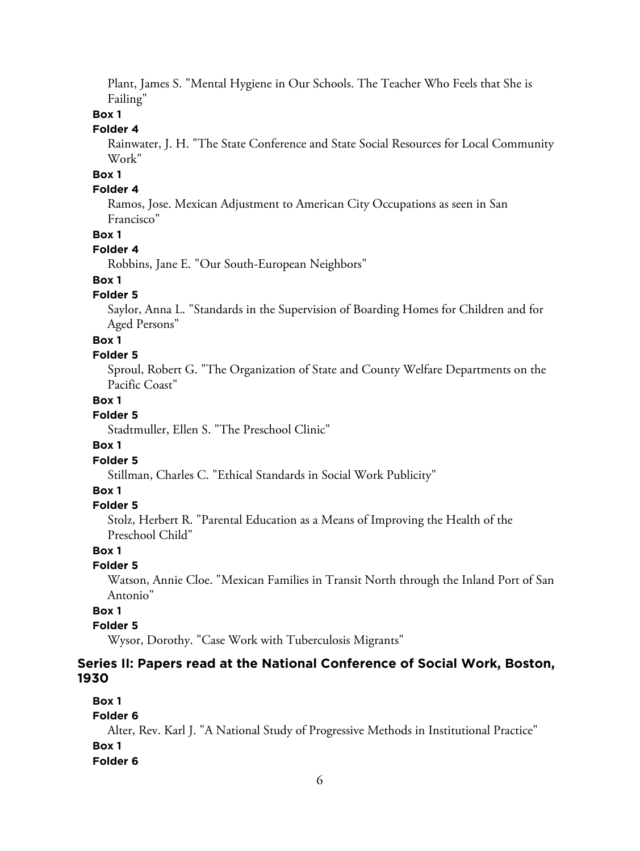Plant, James S. "Mental Hygiene in Our Schools. The Teacher Who Feels that She is Failing"

#### **Box 1**

## **Folder 4**

Rainwater, J. H. "The State Conference and State Social Resources for Local Community Work"

## **Box 1**

#### **Folder 4**

Ramos, Jose. Mexican Adjustment to American City Occupations as seen in San Francisco"

#### **Box 1**

#### **Folder 4**

Robbins, Jane E. "Our South-European Neighbors"

#### **Box 1**

#### **Folder 5**

Saylor, Anna L. "Standards in the Supervision of Boarding Homes for Children and for Aged Persons"

#### **Box 1**

#### **Folder 5**

Sproul, Robert G. "The Organization of State and County Welfare Departments on the Pacific Coast"

#### **Box 1**

## **Folder 5**

Stadtmuller, Ellen S. "The Preschool Clinic"

#### **Box 1**

#### **Folder 5**

Stillman, Charles C. "Ethical Standards in Social Work Publicity"

#### **Box 1**

#### **Folder 5**

Stolz, Herbert R. "Parental Education as a Means of Improving the Health of the Preschool Child"

#### **Box 1**

#### **Folder 5**

Watson, Annie Cloe. "Mexican Families in Transit North through the Inland Port of San Antonio"

## **Box 1**

## **Folder 5**

Wysor, Dorothy. "Case Work with Tuberculosis Migrants"

#### **Series II: Papers read at the National Conference of Social Work, Boston, 1930**

## **Box 1**

#### **Folder 6**

Alter, Rev. Karl J. "A National Study of Progressive Methods in Institutional Practice" **Box 1 Folder 6**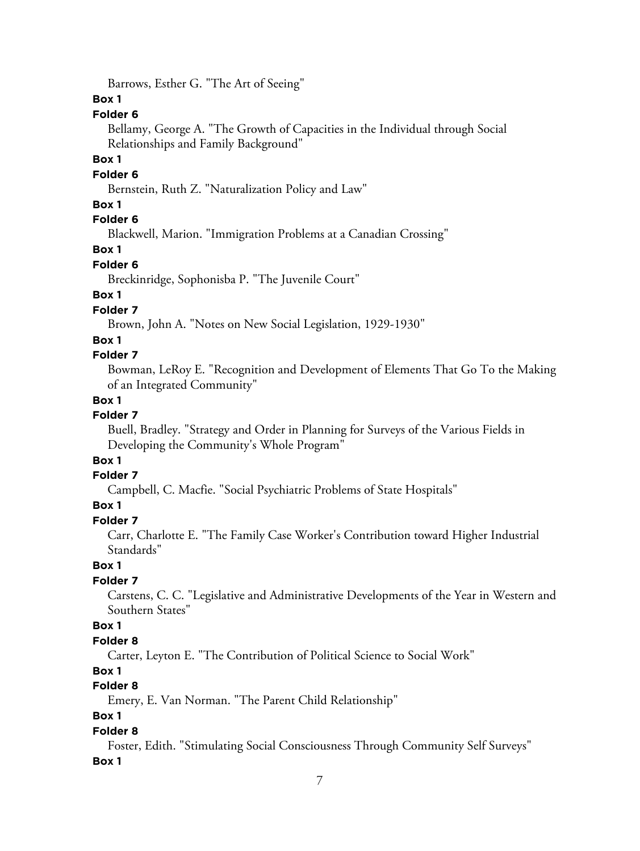Barrows, Esther G. "The Art of Seeing"

## **Box 1**

## **Folder 6**

Bellamy, George A. "The Growth of Capacities in the Individual through Social Relationships and Family Background"

#### **Box 1**

#### **Folder 6**

Bernstein, Ruth Z. "Naturalization Policy and Law"

#### **Box 1**

## **Folder 6**

Blackwell, Marion. "Immigration Problems at a Canadian Crossing"

#### **Box 1**

#### **Folder 6**

Breckinridge, Sophonisba P. "The Juvenile Court"

## **Box 1**

## **Folder 7**

Brown, John A. "Notes on New Social Legislation, 1929-1930"

#### **Box 1**

#### **Folder 7**

Bowman, LeRoy E. "Recognition and Development of Elements That Go To the Making of an Integrated Community"

#### **Box 1**

#### **Folder 7**

Buell, Bradley. "Strategy and Order in Planning for Surveys of the Various Fields in Developing the Community's Whole Program"

#### **Box 1**

#### **Folder 7**

Campbell, C. Macfie. "Social Psychiatric Problems of State Hospitals"

## **Box 1**

#### **Folder 7**

Carr, Charlotte E. "The Family Case Worker's Contribution toward Higher Industrial Standards"

#### **Box 1**

#### **Folder 7**

Carstens, C. C. "Legislative and Administrative Developments of the Year in Western and Southern States"

## **Box 1**

#### **Folder 8**

Carter, Leyton E. "The Contribution of Political Science to Social Work"

#### **Box 1**

# **Folder 8**

Emery, E. Van Norman. "The Parent Child Relationship"

## **Box 1**

#### **Folder 8**

Foster, Edith. "Stimulating Social Consciousness Through Community Self Surveys"

#### **Box 1**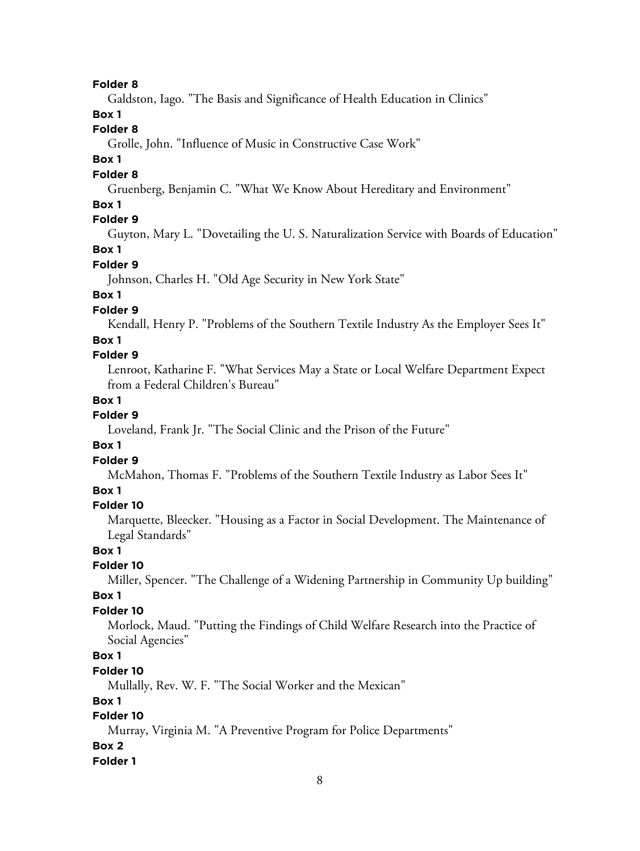#### **Folder 8**

Galdston, Iago. "The Basis and Significance of Health Education in Clinics"

#### **Box 1**

## **Folder 8**

Grolle, John. "Influence of Music in Constructive Case Work"

#### **Box 1**

#### **Folder 8**

Gruenberg, Benjamin C. "What We Know About Hereditary and Environment"

#### **Box 1**

#### **Folder 9**

Guyton, Mary L. "Dovetailing the U. S. Naturalization Service with Boards of Education"

# **Box 1**

# **Folder 9**

Johnson, Charles H. "Old Age Security in New York State"

# **Box 1**

## **Folder 9**

Kendall, Henry P. "Problems of the Southern Textile Industry As the Employer Sees It"

#### **Box 1**

#### **Folder 9**

Lenroot, Katharine F. "What Services May a State or Local Welfare Department Expect from a Federal Children's Bureau"

#### **Box 1**

#### **Folder 9**

Loveland, Frank Jr. "The Social Clinic and the Prison of the Future"

#### **Box 1**

## **Folder 9**

McMahon, Thomas F. "Problems of the Southern Textile Industry as Labor Sees It"

## **Box 1**

#### **Folder 10**

Marquette, Bleecker. "Housing as a Factor in Social Development. The Maintenance of Legal Standards"

#### **Box 1**

#### **Folder 10**

Miller, Spencer. "The Challenge of a Widening Partnership in Community Up building"

#### **Box 1**

#### **Folder 10**

Morlock, Maud. "Putting the Findings of Child Welfare Research into the Practice of Social Agencies"

## **Box 1**

#### **Folder 10**

Mullally, Rev. W. F. "The Social Worker and the Mexican"

## **Box 1**

## **Folder 10**

Murray, Virginia M. "A Preventive Program for Police Departments"

#### **Box 2**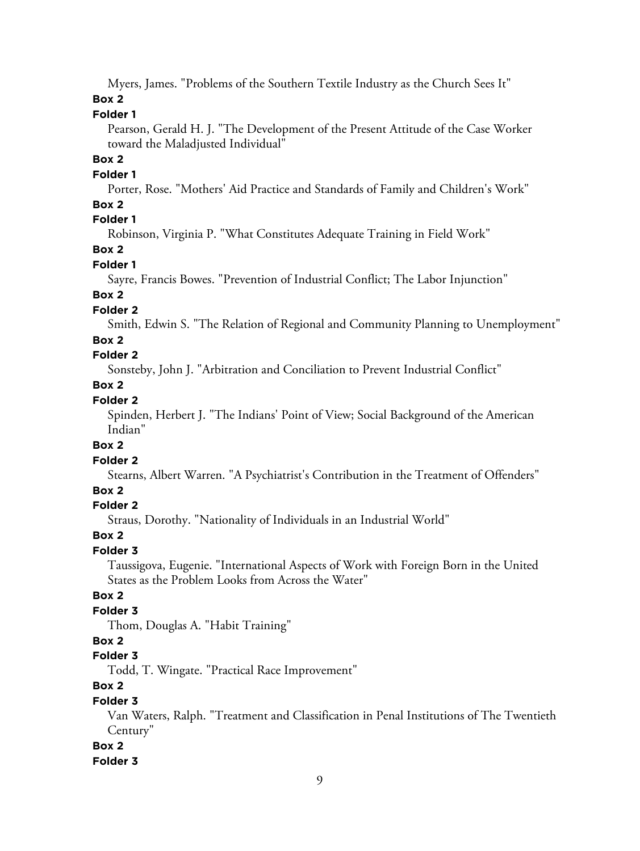Myers, James. "Problems of the Southern Textile Industry as the Church Sees It"

# **Box 2**

# **Folder 1**

Pearson, Gerald H. J. "The Development of the Present Attitude of the Case Worker toward the Maladjusted Individual"

# **Box 2**

#### **Folder 1**

Porter, Rose. "Mothers' Aid Practice and Standards of Family and Children's Work"

# **Box 2**

# **Folder 1**

Robinson, Virginia P. "What Constitutes Adequate Training in Field Work"

# **Box 2**

# **Folder 1**

Sayre, Francis Bowes. "Prevention of Industrial Conflict; The Labor Injunction"

# **Box 2**

# **Folder 2**

Smith, Edwin S. "The Relation of Regional and Community Planning to Unemployment"

# **Box 2**

# **Folder 2**

Sonsteby, John J. "Arbitration and Conciliation to Prevent Industrial Conflict"

# **Box 2**

# **Folder 2**

Spinden, Herbert J. "The Indians' Point of View; Social Background of the American Indian"

# **Box 2**

# **Folder 2**

Stearns, Albert Warren. "A Psychiatrist's Contribution in the Treatment of Offenders"

# **Box 2**

# **Folder 2**

Straus, Dorothy. "Nationality of Individuals in an Industrial World"

# **Box 2**

# **Folder 3**

Taussigova, Eugenie. "International Aspects of Work with Foreign Born in the United States as the Problem Looks from Across the Water"

# **Box 2**

# **Folder 3**

Thom, Douglas A. "Habit Training"

# **Box 2**

# **Folder 3**

Todd, T. Wingate. "Practical Race Improvement"

# **Box 2**

# **Folder 3**

Van Waters, Ralph. "Treatment and Classification in Penal Institutions of The Twentieth Century"

# **Box 2**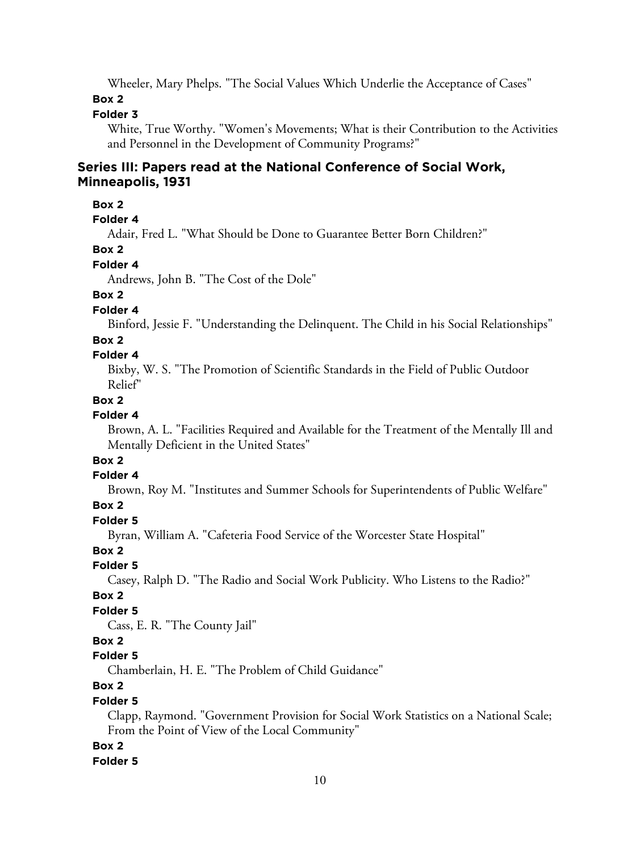Wheeler, Mary Phelps. "The Social Values Which Underlie the Acceptance of Cases"

#### **Box 2**

## **Folder 3**

White, True Worthy. "Women's Movements; What is their Contribution to the Activities and Personnel in the Development of Community Programs?"

#### **Series III: Papers read at the National Conference of Social Work, Minneapolis, 1931**

#### **Box 2**

**Folder 4**

Adair, Fred L. "What Should be Done to Guarantee Better Born Children?"

#### **Box 2**

#### **Folder 4**

Andrews, John B. "The Cost of the Dole"

## **Box 2**

**Folder 4**

Binford, Jessie F. "Understanding the Delinquent. The Child in his Social Relationships"

#### **Box 2**

#### **Folder 4**

Bixby, W. S. "The Promotion of Scientific Standards in the Field of Public Outdoor Relief"

#### **Box 2**

#### **Folder 4**

Brown, A. L. "Facilities Required and Available for the Treatment of the Mentally Ill and Mentally Deficient in the United States"

# **Box 2**

#### **Folder 4**

Brown, Roy M. "Institutes and Summer Schools for Superintendents of Public Welfare"

#### **Box 2**

#### **Folder 5**

Byran, William A. "Cafeteria Food Service of the Worcester State Hospital"

#### **Box 2**

**Folder 5**

Casey, Ralph D. "The Radio and Social Work Publicity. Who Listens to the Radio?"

#### **Box 2**

## **Folder 5**

Cass, E. R. "The County Jail"

# **Box 2**

# **Folder 5**

Chamberlain, H. E. "The Problem of Child Guidance"

# **Box 2**

## **Folder 5**

Clapp, Raymond. "Government Provision for Social Work Statistics on a National Scale; From the Point of View of the Local Community"

#### **Box 2**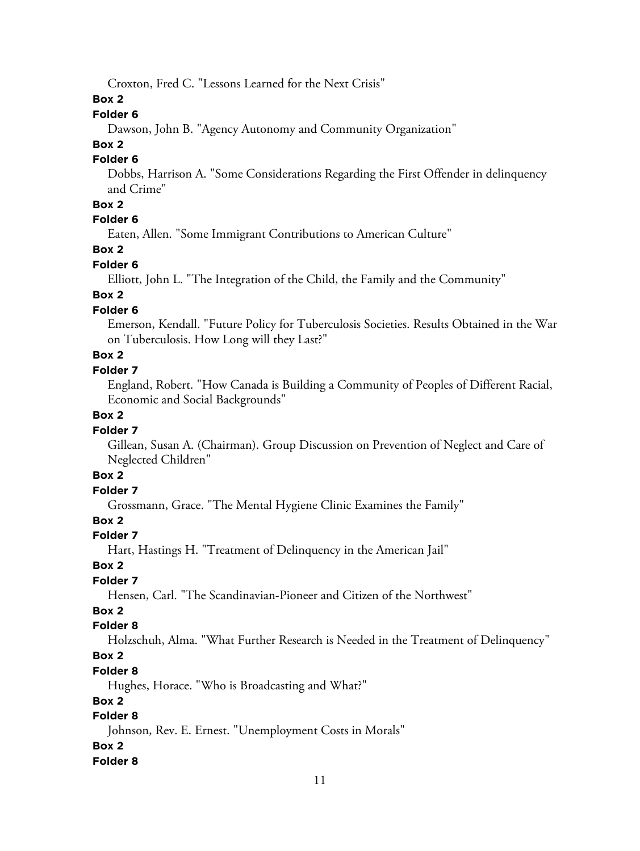Croxton, Fred C. "Lessons Learned for the Next Crisis"

### **Box 2**

# **Folder 6**

Dawson, John B. "Agency Autonomy and Community Organization"

# **Box 2**

# **Folder 6**

Dobbs, Harrison A. "Some Considerations Regarding the First Offender in delinquency and Crime"

# **Box 2**

## **Folder 6**

Eaten, Allen. "Some Immigrant Contributions to American Culture"

## **Box 2**

## **Folder 6**

Elliott, John L. "The Integration of the Child, the Family and the Community"

# **Box 2**

# **Folder 6**

Emerson, Kendall. "Future Policy for Tuberculosis Societies. Results Obtained in the War on Tuberculosis. How Long will they Last?"

# **Box 2**

## **Folder 7**

England, Robert. "How Canada is Building a Community of Peoples of Different Racial, Economic and Social Backgrounds"

# **Box 2**

# **Folder 7**

Gillean, Susan A. (Chairman). Group Discussion on Prevention of Neglect and Care of Neglected Children"

# **Box 2**

# **Folder 7**

Grossmann, Grace. "The Mental Hygiene Clinic Examines the Family"

# **Box 2**

# **Folder 7**

Hart, Hastings H. "Treatment of Delinquency in the American Jail"

# **Box 2**

# **Folder 7**

Hensen, Carl. "The Scandinavian-Pioneer and Citizen of the Northwest"

# **Box 2**

# **Folder 8**

Holzschuh, Alma. "What Further Research is Needed in the Treatment of Delinquency"

# **Box 2**

# **Folder 8**

Hughes, Horace. "Who is Broadcasting and What?"

# **Box 2**

# **Folder 8**

Johnson, Rev. E. Ernest. "Unemployment Costs in Morals"

# **Box 2**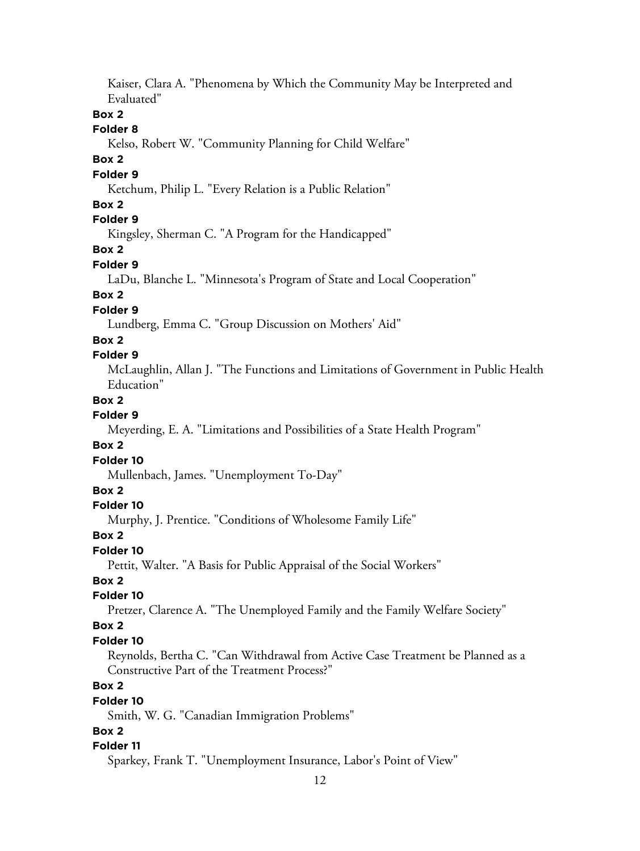Kaiser, Clara A. "Phenomena by Which the Community May be Interpreted and Evaluated"

#### **Box 2**

#### **Folder 8**

Kelso, Robert W. "Community Planning for Child Welfare"

#### **Box 2**

## **Folder 9**

Ketchum, Philip L. "Every Relation is a Public Relation"

## **Box 2**

# **Folder 9**

Kingsley, Sherman C. "A Program for the Handicapped"

## **Box 2**

## **Folder 9**

LaDu, Blanche L. "Minnesota's Program of State and Local Cooperation"

# **Box 2**

# **Folder 9**

Lundberg, Emma C. "Group Discussion on Mothers' Aid"

#### **Box 2**

## **Folder 9**

McLaughlin, Allan J. "The Functions and Limitations of Government in Public Health Education"

## **Box 2**

## **Folder 9**

Meyerding, E. A. "Limitations and Possibilities of a State Health Program"

#### **Box 2**

#### **Folder 10**

Mullenbach, James. "Unemployment To-Day"

#### **Box 2**

#### **Folder 10**

Murphy, J. Prentice. "Conditions of Wholesome Family Life"

#### **Box 2**

#### **Folder 10**

Pettit, Walter. "A Basis for Public Appraisal of the Social Workers"

## **Box 2**

## **Folder 10**

Pretzer, Clarence A. "The Unemployed Family and the Family Welfare Society"

#### **Box 2**

#### **Folder 10**

Reynolds, Bertha C. "Can Withdrawal from Active Case Treatment be Planned as a Constructive Part of the Treatment Process?"

# **Box 2**

#### **Folder 10**

Smith, W. G. "Canadian Immigration Problems"

## **Box 2**

#### **Folder 11**

Sparkey, Frank T. "Unemployment Insurance, Labor's Point of View"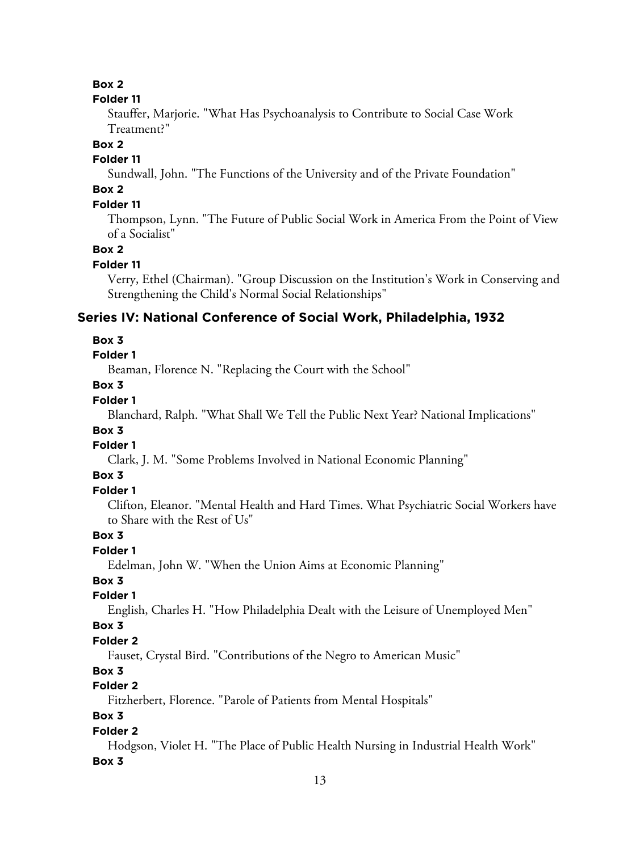#### **Box 2**

#### **Folder 11**

Stauffer, Marjorie. "What Has Psychoanalysis to Contribute to Social Case Work Treatment?"

#### **Box 2**

## **Folder 11**

Sundwall, John. "The Functions of the University and of the Private Foundation"

# **Box 2**

# **Folder 11**

Thompson, Lynn. "The Future of Public Social Work in America From the Point of View of a Socialist"

#### **Box 2**

#### **Folder 11**

Verry, Ethel (Chairman). "Group Discussion on the Institution's Work in Conserving and Strengthening the Child's Normal Social Relationships"

# **Series IV: National Conference of Social Work, Philadelphia, 1932**

## **Box 3**

## **Folder 1**

Beaman, Florence N. "Replacing the Court with the School"

## **Box 3**

# **Folder 1**

Blanchard, Ralph. "What Shall We Tell the Public Next Year? National Implications"

## **Box 3**

## **Folder 1**

Clark, J. M. "Some Problems Involved in National Economic Planning"

#### **Box 3**

#### **Folder 1**

Clifton, Eleanor. "Mental Health and Hard Times. What Psychiatric Social Workers have to Share with the Rest of Us"

## **Box 3**

#### **Folder 1**

Edelman, John W. "When the Union Aims at Economic Planning"

# **Box 3**

## **Folder 1**

English, Charles H. "How Philadelphia Dealt with the Leisure of Unemployed Men"

#### **Box 3**

# **Folder 2**

Fauset, Crystal Bird. "Contributions of the Negro to American Music"

# **Box 3**

# **Folder 2**

Fitzherbert, Florence. "Parole of Patients from Mental Hospitals"

# **Box 3**

# **Folder 2**

Hodgson, Violet H. "The Place of Public Health Nursing in Industrial Health Work"

# **Box 3**